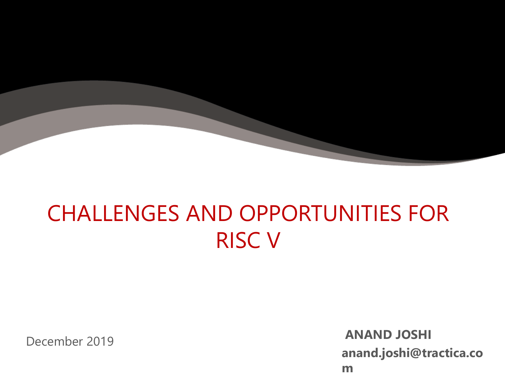

## CHALLENGES AND OPPORTUNITIES FOR RISC V

December 2019 **ANAND JOSHI anand.joshi@tractica.co m**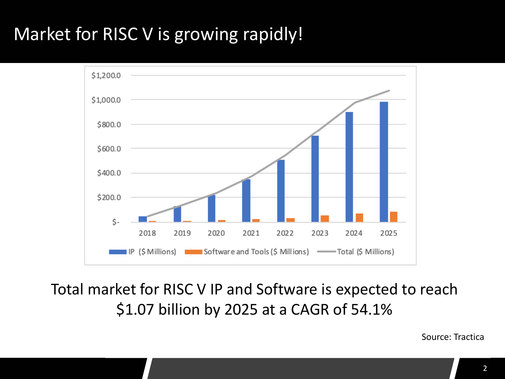### Market for RISC V is growing rapidly!



Total market for RISC V IP and Software is expected to reach \$1.07 billion by 2025 at a CAGR of 54.1%

Source: Tractica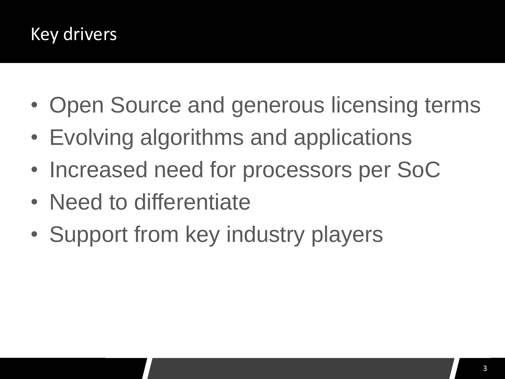#### Key drivers

- Open Source and generous licensing terms
- Evolving algorithms and applications
- Increased need for processors per SoC
- Need to differentiate
- Support from key industry players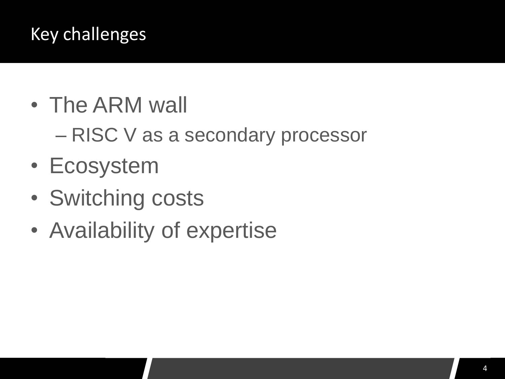#### Key challenges

- The ARM wall
	- RISC V as a secondary processor
- Ecosystem
- Switching costs
- Availability of expertise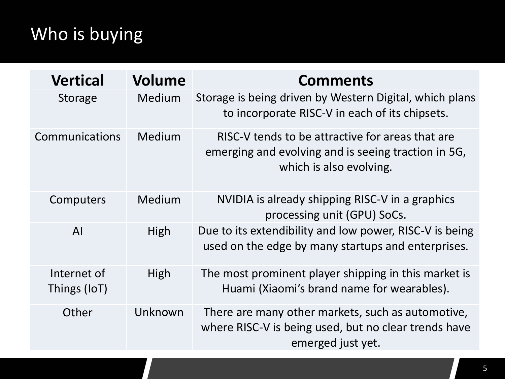### Who is buying

| <b>Vertical</b>             | Volume  | <b>Comments</b>                                                                                                                    |
|-----------------------------|---------|------------------------------------------------------------------------------------------------------------------------------------|
| <b>Storage</b>              | Medium  | Storage is being driven by Western Digital, which plans<br>to incorporate RISC-V in each of its chipsets.                          |
| Communications              | Medium  | RISC-V tends to be attractive for areas that are<br>emerging and evolving and is seeing traction in 5G,<br>which is also evolving. |
| Computers                   | Medium  | NVIDIA is already shipping RISC-V in a graphics<br>processing unit (GPU) SoCs.                                                     |
| AI                          | High    | Due to its extendibility and low power, RISC-V is being<br>used on the edge by many startups and enterprises.                      |
| Internet of<br>Things (IoT) | High    | The most prominent player shipping in this market is<br>Huami (Xiaomi's brand name for wearables).                                 |
| Other                       | Unknown | There are many other markets, such as automotive,<br>where RISC-V is being used, but no clear trends have<br>emerged just yet.     |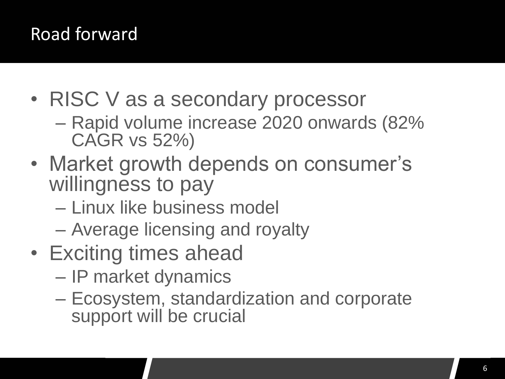#### Road forward

- RISC V as a secondary processor
	- Rapid volume increase 2020 onwards (82% CAGR vs 52%)
- Market growth depends on consumer's willingness to pay
	- Linux like business model
	- Average licensing and royalty
- Exciting times ahead
	- IP market dynamics
	- Ecosystem, standardization and corporate support will be crucial